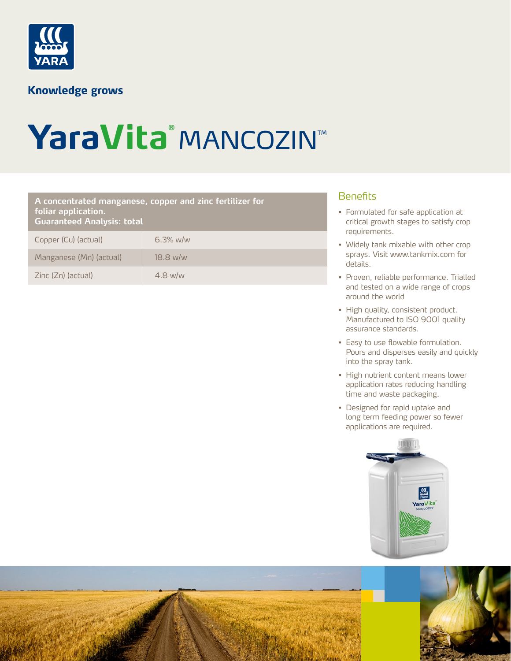

## **Knowledge grows**

# YaraVita® **MANCOZIN™**

## Benefits **A concentrated manganese, copper and zinc fertilizer for foliar application. Guaranteed Analysis: total**

| Copper (Cu) (actual)    | $6.3\%$ w/w |
|-------------------------|-------------|
| Manganese (Mn) (actual) | $18.8$ w/w  |
| Zinc (Zn) (actual)      | $4.8$ w/w   |

- Formulated for safe application at critical growth stages to satisfy crop requirements.
- Widely tank mixable with other crop sprays. Visit www.tankmix.com for details.
- Proven, reliable performance. Trialled and tested on a wide range of crops around the world
- High quality, consistent product. Manufactured to ISO 9001 quality assurance standards.
- Easy to use flowable formulation. Pours and disperses easily and quickly into the spray tank.
- High nutrient content means lower application rates reducing handling time and waste packaging.
- Designed for rapid uptake and long term feeding power so fewer applications are required.